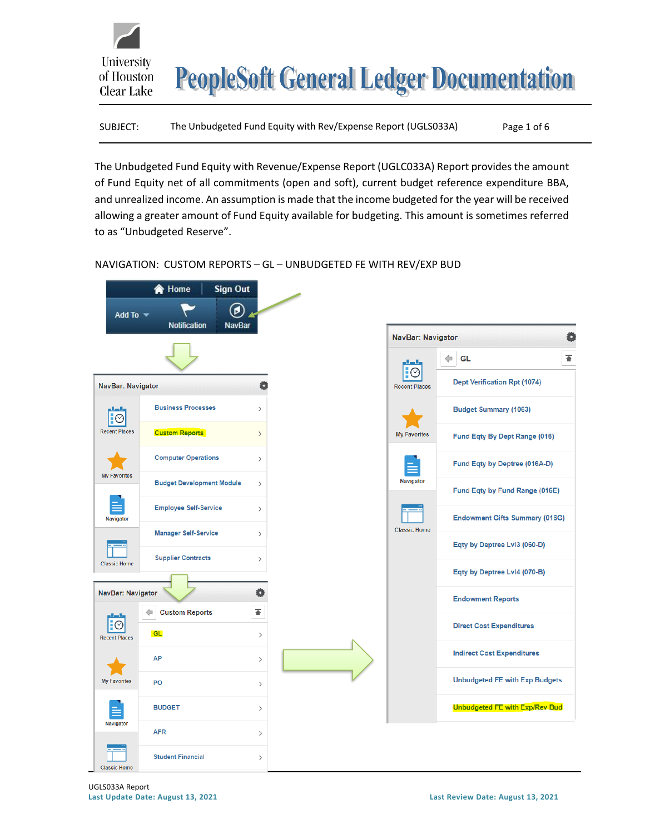

| The Unbudgeted Fund Equity with Rev/Expense Report (UGLS033A)<br>SUBJECT: | Page 1 of 6 |
|---------------------------------------------------------------------------|-------------|
|---------------------------------------------------------------------------|-------------|

The Unbudgeted Fund Equity with Revenue/Expense Report (UGLC033A) Report provides the amount of Fund Equity net of all commitments (open and soft), current budget reference expenditure BBA, and unrealized income. An assumption is made that the income budgeted for the year will be received allowing a greater amount of Fund Equity available for budgeting. This amount is sometimes referred to as "Unbudgeted Reserve".

## NAVIGATION: CUSTOM REPORTS – GL – UNBUDGETED FE WITH REV/EXP BUD

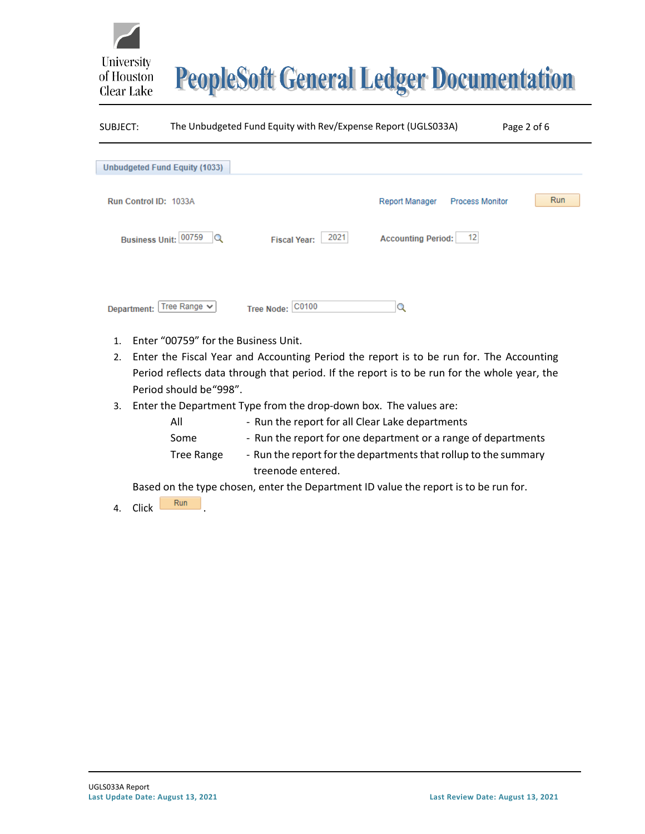# **PeopleSoft General Ledger Documentation**

| SUBJECT:              |                                      | The Unbudgeted Fund Equity with Rev/Expense Report (UGLS033A) |                                                 | Page 2 of 6 |
|-----------------------|--------------------------------------|---------------------------------------------------------------|-------------------------------------------------|-------------|
|                       | <b>Unbudgeted Fund Equity (1033)</b> |                                                               |                                                 |             |
| Run Control ID: 1033A |                                      |                                                               | <b>Report Manager</b><br><b>Process Monitor</b> | Run         |
|                       | Business Unit: 00759<br>Q            | 2021<br><b>Fiscal Year:</b>                                   | $-12$<br><b>Accounting Period:</b>              |             |
| Department:           | Tree Range $\vee$                    | Tree Node: C0100                                              | Q                                               |             |
| 1.                    | Enter "00759" for the Business Unit. |                                                               |                                                 |             |

- 2. Enter the Fiscal Year and Accounting Period the report is to be run for. The Accounting Period reflects data through that period. If the report is to be run for the whole year, the Period should be"998".
- 3. Enter the Department Type from the drop-down box. The values are:

| All        | - Run the report for all Clear Lake departments                 |
|------------|-----------------------------------------------------------------|
| Some       | - Run the report for one department or a range of departments   |
| Tree Range | - Run the report for the departments that rollup to the summary |
|            | treenode entered.                                               |

Based on the type chosen, enter the Department ID value the report is to be run for.

4. Click Run

University

of Houston Clear Lake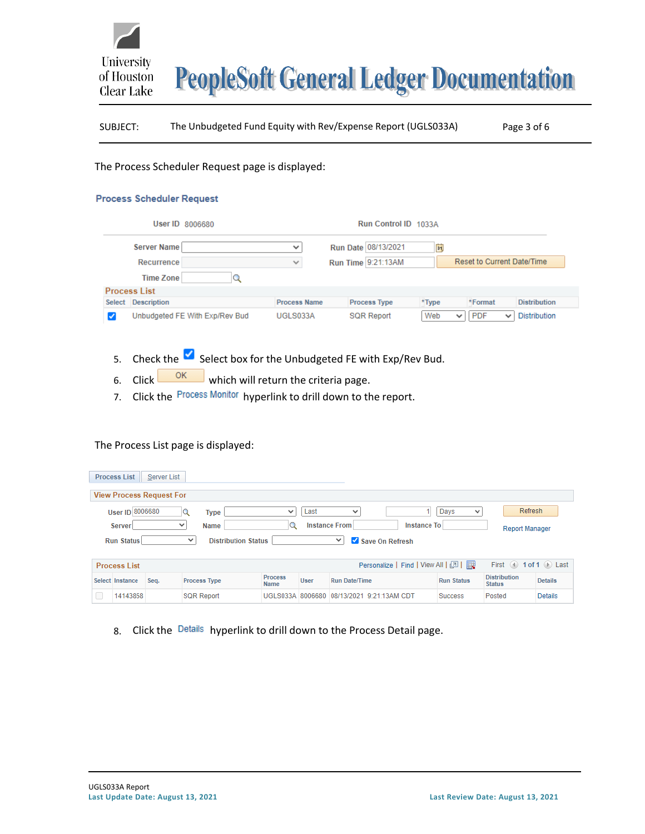

## SUBJECT: The Unbudgeted Fund Equity with Rev/Expense Report (UGLS033A) Page 3 of 6

#### The Process Scheduler Request page is displayed:

#### **Process Scheduler Request**

|        |                     | Run Control ID 1033A<br>User ID 8006680 |                     |  |                     |                     |       |              |                            |              |                     |
|--------|---------------------|-----------------------------------------|---------------------|--|---------------------|---------------------|-------|--------------|----------------------------|--------------|---------------------|
|        | Server Name         |                                         | $\checkmark$        |  |                     | Run Date 08/13/2021 | B     |              |                            |              |                     |
|        | <b>Recurrence</b>   |                                         | $\checkmark$        |  |                     | Run Time 9:21:13AM  |       |              | Reset to Current Date/Time |              |                     |
|        | <b>Time Zone</b>    |                                         |                     |  |                     |                     |       |              |                            |              |                     |
|        | <b>Process List</b> |                                         |                     |  |                     |                     |       |              |                            |              |                     |
| Select | <b>Description</b>  |                                         | <b>Process Name</b> |  | <b>Process Type</b> |                     | *Type |              | *Format                    |              | <b>Distribution</b> |
|        |                     | Unbudgeted FE With Exp/Rev Bud          | UGLS033A            |  | <b>SQR Report</b>   |                     | Web   | $\checkmark$ | <b>PDF</b>                 | $\checkmark$ | <b>Distribution</b> |

# 5. Check the  $\blacktriangleright$  Select box for the Unbudgeted FE with Exp/Rev Bud.

- 6. Click  $\frac{OK}{M}$  which will return the criteria page.
- 7. Click the Process Monitor hyperlink to drill down to the report.

## The Process List page is displayed:

| <b>Process List</b><br>Server List |                                                                                                   |      |                                            |                               |             |                                   |                      |                                      |                |
|------------------------------------|---------------------------------------------------------------------------------------------------|------|--------------------------------------------|-------------------------------|-------------|-----------------------------------|----------------------|--------------------------------------|----------------|
| <b>View Process Request For</b>    |                                                                                                   |      |                                            |                               |             |                                   |                      |                                      |                |
|                                    | User ID 8006680                                                                                   |      | Q<br><b>Type</b>                           | $\checkmark$                  | Last        | $\checkmark$                      | Days<br>$\checkmark$ | Refresh                              |                |
|                                    | <b>Instance From</b><br><b>Instance To</b><br>◡<br><b>Server</b><br>Name<br><b>Report Manager</b> |      |                                            |                               |             |                                   |                      |                                      |                |
|                                    | <b>Run Status</b>                                                                                 |      | <b>Distribution Status</b><br>$\checkmark$ |                               |             | Save On Refresh<br>$\checkmark$   |                      |                                      |                |
|                                    |                                                                                                   |      |                                            |                               |             |                                   |                      |                                      |                |
|                                    |                                                                                                   |      |                                            |                               |             |                                   |                      |                                      |                |
|                                    | <b>Process List</b>                                                                               |      |                                            |                               |             | Personalize   Find   View All   2 |                      | First $\Box$ 1 of 1 $\Box$ Last      |                |
|                                    | Select Instance                                                                                   | Seq. | <b>Process Type</b>                        | <b>Process</b><br><b>Name</b> | <b>User</b> | <b>Run Date/Time</b>              | <b>Run Status</b>    | <b>Distribution</b><br><b>Status</b> | <b>Details</b> |

## 8. Click the Details hyperlink to drill down to the Process Detail page.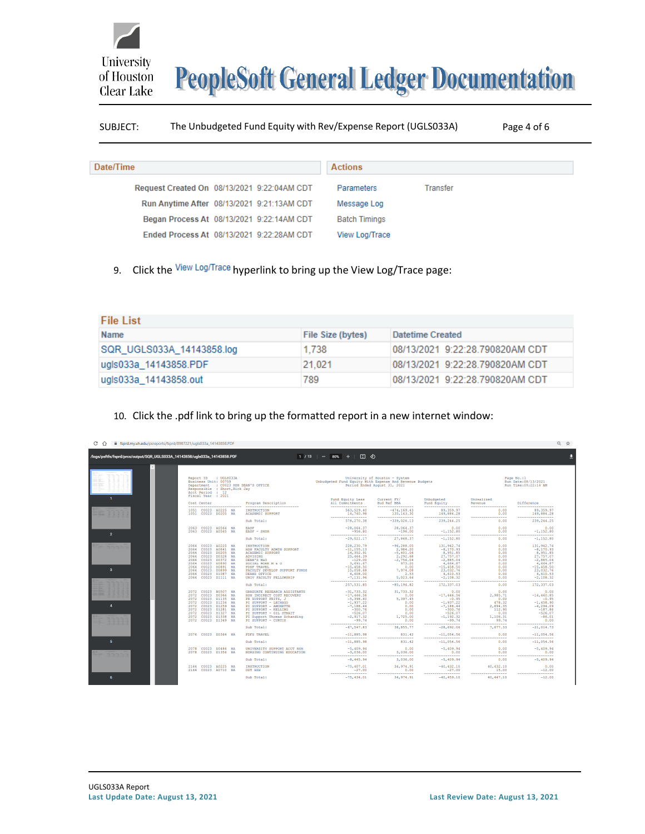**PeopleSoft General Ledger Documentation** 

## SUBJECT: The Unbudgeted Fund Equity with Rev/Expense Report (UGLS033A) Page 4 of 6

| Date/Time                                   | <b>Actions</b>         |  |
|---------------------------------------------|------------------------|--|
| Request Created On 08/13/2021 9:22:04AM CDT | Parameters<br>Transfer |  |
| Run Anytime After 08/13/2021 9:21:13AM CDT  | Message Log            |  |
| Began Process At 08/13/2021 9:22:14AM CDT   | <b>Batch Timings</b>   |  |
| Ended Process At 08/13/2021 9:22:28AM CDT   | View Log/Trace         |  |

9. Click the View Log/Trace hyperlink to bring up the View Log/Trace page:

| <b>File List</b>          |                          |                                 |
|---------------------------|--------------------------|---------------------------------|
| <b>Name</b>               | <b>File Size (bytes)</b> | <b>Datetime Created</b>         |
| SQR UGLS033A 14143858.log | 1.738                    | 08/13/2021 9:22:28 790820AM CDT |
| lugis033a 14143858.PDF    | 21.021                   | 08/13/2021 9:22:28.790820AM CDT |
| ugls033a_14143858.out     | 789                      | 08/13/2021 9:22:28 790820AM CDT |

## 10. Click the .pdf link to bring up the formatted report in a new internet window:

| fil fsprd.my.uh.edu/psreports/fsprd/8987221/uqls033a_14143858.PDF<br>C     |                                                                                                                                                                                                                                                                                                                          |                                                                                                                                                                                                                                                    |                                                                                                                                                                                                                                                                                                                                                                                                                                                                                                                                                                                               |                                                                                                                                            |                                                                                                                                                                |                                                                                                   | ◎ ☆                                                                                                                                                          |
|----------------------------------------------------------------------------|--------------------------------------------------------------------------------------------------------------------------------------------------------------------------------------------------------------------------------------------------------------------------------------------------------------------------|----------------------------------------------------------------------------------------------------------------------------------------------------------------------------------------------------------------------------------------------------|-----------------------------------------------------------------------------------------------------------------------------------------------------------------------------------------------------------------------------------------------------------------------------------------------------------------------------------------------------------------------------------------------------------------------------------------------------------------------------------------------------------------------------------------------------------------------------------------------|--------------------------------------------------------------------------------------------------------------------------------------------|----------------------------------------------------------------------------------------------------------------------------------------------------------------|---------------------------------------------------------------------------------------------------|--------------------------------------------------------------------------------------------------------------------------------------------------------------|
| /logs/psftfs/fsprd/prcs/output/SQR_UGLS033A_14143858/ugls033a_14143858.PDF |                                                                                                                                                                                                                                                                                                                          |                                                                                                                                                                                                                                                    | $1/13$ $-$ 80% $+$ $\Box$ $\circledcirc$                                                                                                                                                                                                                                                                                                                                                                                                                                                                                                                                                      |                                                                                                                                            |                                                                                                                                                                |                                                                                                   |                                                                                                                                                              |
|                                                                            |                                                                                                                                                                                                                                                                                                                          |                                                                                                                                                                                                                                                    |                                                                                                                                                                                                                                                                                                                                                                                                                                                                                                                                                                                               |                                                                                                                                            |                                                                                                                                                                |                                                                                                   |                                                                                                                                                              |
| п.                                                                         | Report ID : UGLS033A<br>Business Unit: 00759<br>Department : C0023 HSH DEAN'S OFFICE<br>Responsible : Short, Rick Jav<br>Acct Period : 12<br>Fiscal Year : 2021                                                                                                                                                          |                                                                                                                                                                                                                                                    | Unbudgeted Fund Equity With Expense And Revenue Budgets                                                                                                                                                                                                                                                                                                                                                                                                                                                                                                                                       | University of Houston - System<br>Period Ended August 31, 2021                                                                             | Page No.:1<br>Run Date: 08/13/2021<br>Run Time: 09:22:14 AM                                                                                                    |                                                                                                   |                                                                                                                                                              |
|                                                                            | Cost Center<br>-------------------------                                                                                                                                                                                                                                                                                 | Program Description<br>---------------------------                                                                                                                                                                                                 | Fund Equity Less<br>All Commitments<br>------------------                                                                                                                                                                                                                                                                                                                                                                                                                                                                                                                                     | Current FY/<br>Bud Ref BBA<br>------------------                                                                                           | Unbudgeted<br>Fund Equity<br>------------------                                                                                                                | Unrealized<br>Revenue<br>------------------                                                       | <b>Difference</b><br>-----------------                                                                                                                       |
|                                                                            | 1051 C0023 A0225 NA<br>1051 C0023 D0205 NA                                                                                                                                                                                                                                                                               | <b>INSTRUCTION</b><br>ACADEMIC SUPPORT                                                                                                                                                                                                             | 563, 529, 40<br>14,740.98<br>-----------------                                                                                                                                                                                                                                                                                                                                                                                                                                                                                                                                                | $-474, 169, 43$<br>135, 143, 30<br>-----------------                                                                                       | 89, 359, 97<br>149,884.28<br>-------------------                                                                                                               | 0.00<br>0.00<br>-----------------                                                                 | 89, 359, 97<br>149,884.28<br>-----------------                                                                                                               |
|                                                                            |                                                                                                                                                                                                                                                                                                                          | Sub Total:                                                                                                                                                                                                                                         | 578, 270, 38                                                                                                                                                                                                                                                                                                                                                                                                                                                                                                                                                                                  | $-339,026,13$                                                                                                                              | 239, 244, 25                                                                                                                                                   | 0.00                                                                                              | 239, 244, 25                                                                                                                                                 |
| $\overline{2}$                                                             | C0023 A0564 NA<br>2063<br>2063 C0023 A0565 NA                                                                                                                                                                                                                                                                            | <b>EASF</b><br>EASF - SHSH                                                                                                                                                                                                                         | $-28,064.37$<br>$-956,80$<br>-----------------                                                                                                                                                                                                                                                                                                                                                                                                                                                                                                                                                | 28,064.37<br>$-196.00$<br>-----------------                                                                                                | 0.00<br>$-1, 152.80$<br>------------------------                                                                                                               | 0.00<br>0.00<br>----------------------                                                            | 0.00<br>$-1, 152.80$<br>-------------------                                                                                                                  |
|                                                                            |                                                                                                                                                                                                                                                                                                                          | Sub Total:                                                                                                                                                                                                                                         | $-29.021.17$                                                                                                                                                                                                                                                                                                                                                                                                                                                                                                                                                                                  | 27,868.37                                                                                                                                  | $-1, 152.80$                                                                                                                                                   | 0.00                                                                                              | $-1.152.80$                                                                                                                                                  |
| $\overline{\mathbf{3}}$                                                    | C0023<br>A0225 NA<br>2064<br>CO <sub>023</sub><br>A0641 NA<br>2064<br>C0023<br><b>D0205</b><br><b>NA</b><br>2064<br>C0023<br>D0328 NA<br>2064<br>00023<br>D0372 NA<br>2064<br>2064<br>C0023<br>D0890 NA<br>C0023<br>D0891 NA<br>2064<br>D0899 NA<br>C0023<br>2064<br>2064<br>C0023<br>D1087 NA<br>C0023 D1111 NA<br>2064 | INSTRUCTION<br>HSH FACULTY ADMIN SUPPORT<br><b>ACADEMIC SUPPORT</b><br>ADVISING<br>DEAN'S M&O<br>SOCIAL WORK M & O<br>FDSF TRAVEL<br>FACULTY DEVELOP SUPPORT FUNDS<br>DEANS OFFICE<br>UNIV FACULTY FELLOWSHIP                                      | 228, 230.79<br>$-11, 155, 13$<br>14, 352.91<br>25, 464, 39<br>$-129.00$<br>3.691.67<br>$-15,458.50$<br>15,058.68<br>4,608,00<br>$-7,131,96$<br>$\begin{minipage}{0.9\linewidth} \begin{tabular}{l} \hline \multicolumn{3}{c}{\textbf{1.66}} \multicolumn{3}{c}{\textbf{1.66}} \multicolumn{3}{c}{\textbf{1.66}} \multicolumn{3}{c}{\textbf{1.66}} \multicolumn{3}{c}{\textbf{1.66}} \multicolumn{3}{c}{\textbf{1.66}} \multicolumn{3}{c}{\textbf{1.66}} \multicolumn{3}{c}{\textbf{1.66}} \multicolumn{3}{c}{\textbf{1.66}} \multicolumn{3}{c}{\textbf{1.66}} \multicolumn{3}{c}{\textbf{1.6$ | $-96, 288.05$<br>2,984.20<br>$-5,401.06$<br>2,292.68<br>$-2,756,04$<br>973.20<br>0.00<br>7,974.08<br>2.53<br>5,023.64<br>----------------- | 131, 942.74<br>$-8,170.93$<br>8,951.85<br>27, 757, 07<br>$-2,885.04$<br>4,664.87<br>$-15,458.50$<br>23,032.76<br>4,610.53<br>$-2,108.32$<br>------------------ | 0.00<br>0.00<br>0.00<br>0.00<br>0.00<br>0.00<br>0.00<br>0.00<br>0.00<br>0.00<br>----------------- | 131, 942.74<br>$-8, 170.93$<br>8,951.85<br>27,757.07<br>$-2,885.04$<br>4,664.87<br>$-15,458.50$<br>23,032.76<br>4,610.53<br>$-2,108,32$<br>----------------- |
|                                                                            |                                                                                                                                                                                                                                                                                                                          | Sub Total:                                                                                                                                                                                                                                         | 257, 531.85                                                                                                                                                                                                                                                                                                                                                                                                                                                                                                                                                                                   | $-85, 194.82$                                                                                                                              | 172, 337.03                                                                                                                                                    | 0.00                                                                                              | 172, 337.03                                                                                                                                                  |
| $\frac{1}{2}$<br>$\boldsymbol{A}$                                          | C0023<br>B0507 NA<br>2072<br>C0023<br>D0366 NA<br>2072<br>2072<br>C0023<br>D1135 NA<br>C0023<br>D1234 NA<br>2072<br>2072<br>C0023<br>D1259<br>N <sub>D</sub><br>C0023<br>2072<br>D1281 NA<br>2072<br>C0023<br>D1327 NA<br>2072<br>C0023<br>D1338 NA<br>2072 C0023 D1349 NA                                               | <b>GRADUATE RESEARCH ASSISTANTS</b><br>HSH INDIRECT COST RECOVERY<br>PR SUPPORT FRITZ, J<br>PI SUPPORT - LECHAGO<br>PI SUPPORT - AMONETTE<br>PI SUPPORT - KELLING<br>PI SUPPORT - GIL STRAIT<br>PI Support Thomas Schanding<br>PI SUPPORT - CURTIS | $-31, 733, 32$<br>$-17,446.56$<br>$-5,398.40$<br>$-1, 937, 22$<br>$-7,188.44$<br>$-300.76$<br>$-2, 917, 32$<br>$-99.74$                                                                                                                                                                                                                                                                                                                                                                                                                                                                       | 31,733.32<br>0.00<br>5,397.45<br>0.00<br>0.00<br>0.00<br>0.00<br>1,725.00<br>0.00                                                          | 0.00<br>$-17,446,56$<br>$-0.95$<br>$-1, 937, 22$<br>$-7,188,44$<br>$-300,76$<br>$-526.07$<br>$-1, 192, 32$<br>$-99.74$                                         | 0.00<br>2,985.71<br>0.00<br>478.32<br>2.894.35<br>112,90<br>0.00<br>1,106.31<br>99.74             | 0.00<br>$-14, 460, 85$<br>$-0.95$<br>$-1,458,90$<br>$-4, 294, 09$<br>$-187,86$<br>$-526.07$<br>$-86.01$<br>0.00                                              |
|                                                                            |                                                                                                                                                                                                                                                                                                                          | Sub Total:                                                                                                                                                                                                                                         | ------------------<br>$-67, 547, 83$                                                                                                                                                                                                                                                                                                                                                                                                                                                                                                                                                          | -----------------<br>38,855.77                                                                                                             | -----------------<br>$-28,692.06$                                                                                                                              | -----------------<br>7,677.33                                                                     | -----------------<br>$-21,014.73$                                                                                                                            |
|                                                                            | 2076 C0023 D0364 NA                                                                                                                                                                                                                                                                                                      | <b>FDFS TRAVEL</b>                                                                                                                                                                                                                                 | $-11,885,98$<br>-----------------                                                                                                                                                                                                                                                                                                                                                                                                                                                                                                                                                             | 831.42<br>-----------------                                                                                                                | $-11,054,56$<br>-----------------                                                                                                                              | 0.00<br>-----------------                                                                         | $-11,054,56$<br>-----------------                                                                                                                            |
| 5                                                                          |                                                                                                                                                                                                                                                                                                                          | Sub Total:                                                                                                                                                                                                                                         | $-11,885.98$                                                                                                                                                                                                                                                                                                                                                                                                                                                                                                                                                                                  | 831.42                                                                                                                                     | $-11,054.56$                                                                                                                                                   | 0.00                                                                                              | $-11,054.56$                                                                                                                                                 |
|                                                                            | C0023 D0486 NA<br>C0023 D1356 NA<br>2078                                                                                                                                                                                                                                                                                 | UNIVERSITY SUPPORT ACCT HSH<br>NURSING CONTINUING EDUCATION                                                                                                                                                                                        | $-5,409.94$<br>$-3,036,00$<br>-----------------                                                                                                                                                                                                                                                                                                                                                                                                                                                                                                                                               | 0.00<br>3,036.00<br>-----------------                                                                                                      | $-5,409.94$<br>0.00<br>-----------------                                                                                                                       | 0.00<br>0.00<br>-----------------                                                                 | $-5,409.94$<br>0.00<br>----------------                                                                                                                      |
|                                                                            |                                                                                                                                                                                                                                                                                                                          | Sub Total:                                                                                                                                                                                                                                         | $-8,445,94$                                                                                                                                                                                                                                                                                                                                                                                                                                                                                                                                                                                   | 3,036.00                                                                                                                                   | $-5,409.94$                                                                                                                                                    | 0.00                                                                                              | $-5,409,94$                                                                                                                                                  |
|                                                                            | 2164 C0023 A0225 NA<br>2164 C0023 A0710 NA                                                                                                                                                                                                                                                                               | INSTRUCTION<br>DDT HSH                                                                                                                                                                                                                             | $-75,407.01$<br>$-27.00$<br>-----------------                                                                                                                                                                                                                                                                                                                                                                                                                                                                                                                                                 | 34.974.91<br>0.00<br>-----------------                                                                                                     | $-40, 432.10$<br>$-27.00$<br>-----------------                                                                                                                 | 40.432.10<br>15.00<br>-----------------                                                           | 0.00<br>$-12.00$<br>-----------------                                                                                                                        |
| 6                                                                          |                                                                                                                                                                                                                                                                                                                          | Sub Total:                                                                                                                                                                                                                                         | $-75, 434, 01$                                                                                                                                                                                                                                                                                                                                                                                                                                                                                                                                                                                | 34, 974, 91                                                                                                                                | $-40, 459, 10$                                                                                                                                                 | 40,447.10                                                                                         | $-12.00$                                                                                                                                                     |

University

of Houston Clear Lake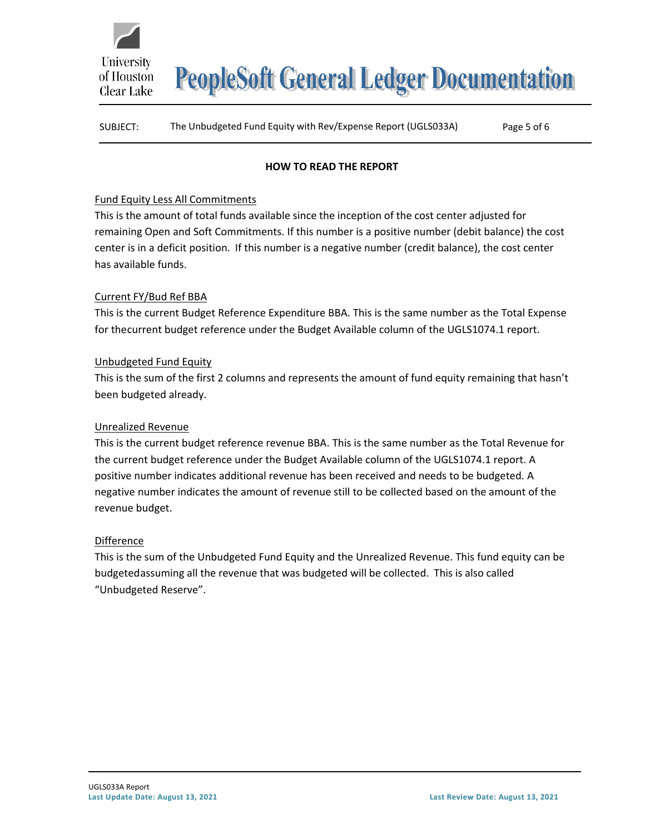

**PeopleSoft General Ledger Documentation** 

## SUBJECT: The Unbudgeted Fund Equity with Rev/Expense Report (UGLS033A) Page 5 of 6

## **HOW TO READ THE REPORT**

## Fund Equity Less All Commitments

This is the amount of total funds available since the inception of the cost center adjusted for remaining Open and Soft Commitments. If this number is a positive number (debit balance) the cost center is in a deficit position. If this number is a negative number (credit balance), the cost center has available funds.

## Current FY/Bud Ref BBA

This is the current Budget Reference Expenditure BBA. This is the same number as the Total Expense for thecurrent budget reference under the Budget Available column of the UGLS1074.1 report.

## Unbudgeted Fund Equity

This is the sum of the first 2 columns and represents the amount of fund equity remaining that hasn't been budgeted already.

#### Unrealized Revenue

This is the current budget reference revenue BBA. This is the same number as the Total Revenue for the current budget reference under the Budget Available column of the UGLS1074.1 report. A positive number indicates additional revenue has been received and needs to be budgeted. A negative number indicates the amount of revenue still to be collected based on the amount of the revenue budget.

#### **Difference**

This is the sum of the Unbudgeted Fund Equity and the Unrealized Revenue. This fund equity can be budgetedassuming all the revenue that was budgeted will be collected. This is also called "Unbudgeted Reserve".